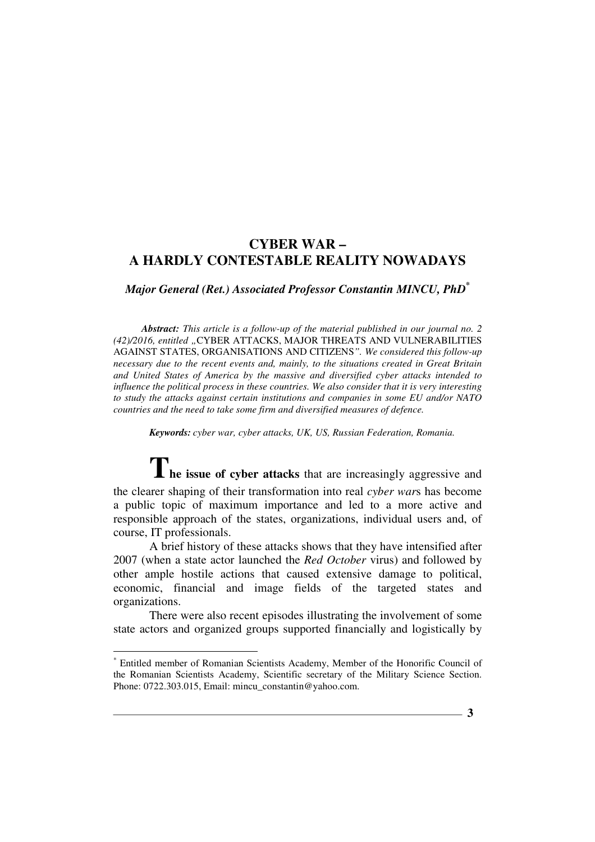# **CYBER WAR – A HARDLY CONTESTABLE REALITY NOWADAYS**

*Major General (Ret.) Associated Professor Constantin MINCU, PhD\**

*Abstract: This article is a follow-up of the material published in our journal no. 2 (42)/2016, entitled "*CYBER ATTACKS, MAJOR THREATS AND VULNERABILITIES AGAINST STATES, ORGANISATIONS AND CITIZENS*". We considered this follow-up necessary due to the recent events and, mainly, to the situations created in Great Britain and United States of America by the massive and diversified cyber attacks intended to influence the political process in these countries. We also consider that it is very interesting to study the attacks against certain institutions and companies in some EU and/or NATO countries and the need to take some firm and diversified measures of defence.*

*Keywords: cyber war, cyber attacks, UK, US, Russian Federation, Romania.*

**The issue of cyber attacks** that are increasingly aggressive and the clearer shaping of their transformation into real *cyber war*s has become a public topic of maximum importance and led to a more active and responsible approach of the states, organizations, individual users and, of course, IT professionals.

A brief history of these attacks shows that they have intensified after 2007 (when a state actor launched the *Red October* virus) and followed by other ample hostile actions that caused extensive damage to political, economic, financial and image fields of the targeted states and organizations.

There were also recent episodes illustrating the involvement of some state actors and organized groups supported financially and logistically by

 $\overline{a}$ 

<sup>\*</sup> Entitled member of Romanian Scientists Academy, Member of the Honorific Council of the Romanian Scientists Academy, Scientific secretary of the Military Science Section. Phone: 0722.303.015, Email: mincu\_constantin@yahoo.com.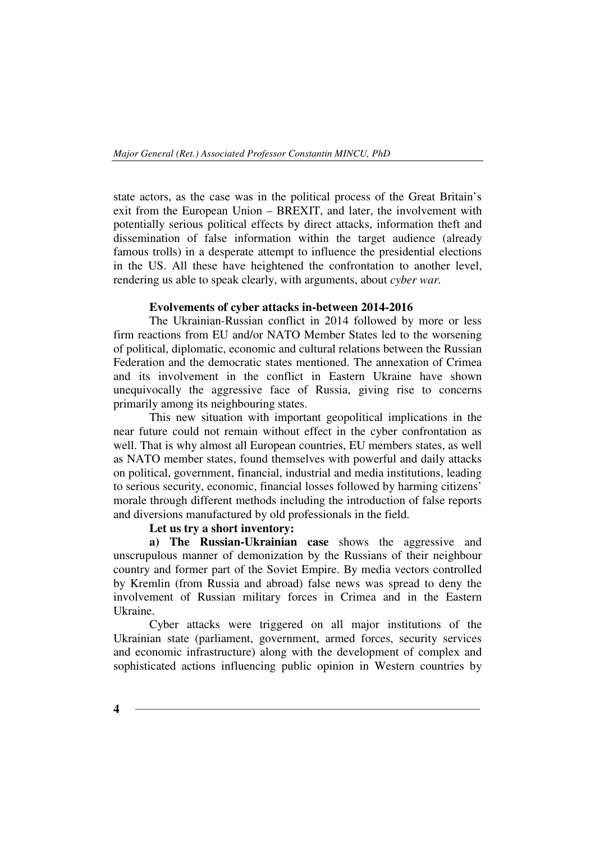state actors, as the case was in the political process of the Great Britain's exit from the European Union – BREXIT, and later, the involvement with potentially serious political effects by direct attacks, information theft and dissemination of false information within the target audience (already famous trolls) in a desperate attempt to influence the presidential elections in the US. All these have heightened the confrontation to another level, rendering us able to speak clearly, with arguments, about *cyber war.*

## **Evolvements of cyber attacks in-between 2014-2016**

The Ukrainian-Russian conflict in 2014 followed by more or less firm reactions from EU and/or NATO Member States led to the worsening of political, diplomatic, economic and cultural relations between the Russian Federation and the democratic states mentioned. The annexation of Crimea and its involvement in the conflict in Eastern Ukraine have shown unequivocally the aggressive face of Russia, giving rise to concerns primarily among its neighbouring states.

This new situation with important geopolitical implications in the near future could not remain without effect in the cyber confrontation as well. That is why almost all European countries, EU members states, as well as NATO member states, found themselves with powerful and daily attacks on political, government, financial, industrial and media institutions, leading to serious security, economic, financial losses followed by harming citizens' morale through different methods including the introduction of false reports and diversions manufactured by old professionals in the field.

## **Let us try a short inventory:**

**a) The Russian-Ukrainian case** shows the aggressive and unscrupulous manner of demonization by the Russians of their neighbour country and former part of the Soviet Empire. By media vectors controlled by Kremlin (from Russia and abroad) false news was spread to deny the involvement of Russian military forces in Crimea and in the Eastern Ukraine.

Cyber attacks were triggered on all major institutions of the Ukrainian state (parliament, government, armed forces, security services and economic infrastructure) along with the development of complex and sophisticated actions influencing public opinion in Western countries by

**4**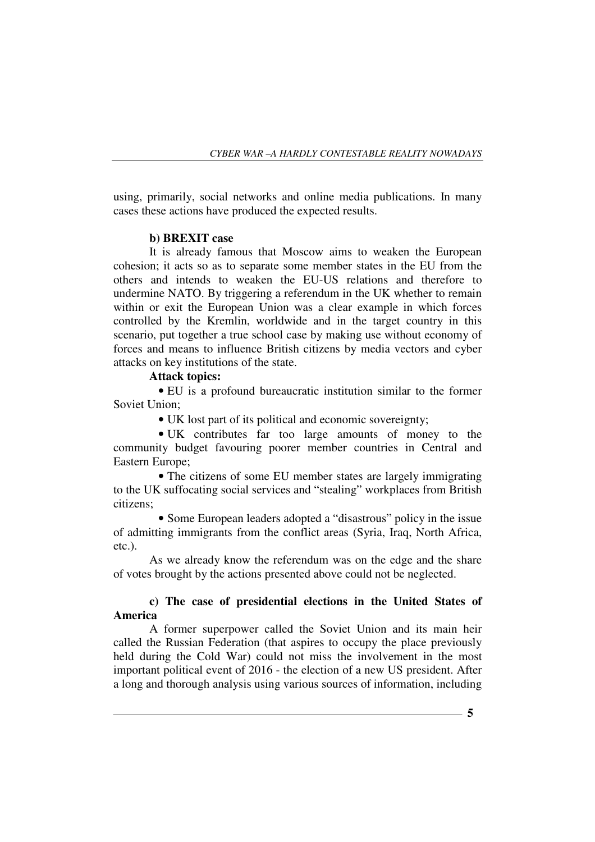using, primarily, social networks and online media publications. In many cases these actions have produced the expected results.

## **b) BREXIT case**

It is already famous that Moscow aims to weaken the European cohesion; it acts so as to separate some member states in the EU from the others and intends to weaken the EU-US relations and therefore to undermine NATO. By triggering a referendum in the UK whether to remain within or exit the European Union was a clear example in which forces controlled by the Kremlin, worldwide and in the target country in this scenario, put together a true school case by making use without economy of forces and means to influence British citizens by media vectors and cyber attacks on key institutions of the state.

## **Attack topics:**

• EU is a profound bureaucratic institution similar to the former Soviet Union;

• UK lost part of its political and economic sovereignty;

• UK contributes far too large amounts of money to the community budget favouring poorer member countries in Central and Eastern Europe;

• The citizens of some EU member states are largely immigrating to the UK suffocating social services and "stealing" workplaces from British citizens;

• Some European leaders adopted a "disastrous" policy in the issue of admitting immigrants from the conflict areas (Syria, Iraq, North Africa, etc.).

As we already know the referendum was on the edge and the share of votes brought by the actions presented above could not be neglected.

# **c) The case of presidential elections in the United States of America**

A former superpower called the Soviet Union and its main heir called the Russian Federation (that aspires to occupy the place previously held during the Cold War) could not miss the involvement in the most important political event of 2016 - the election of a new US president. After a long and thorough analysis using various sources of information, including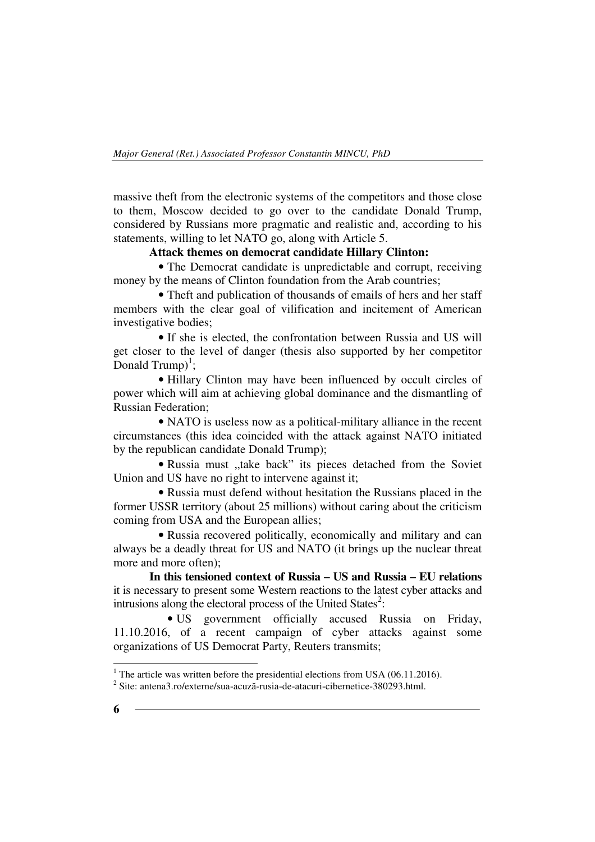massive theft from the electronic systems of the competitors and those close to them, Moscow decided to go over to the candidate Donald Trump, considered by Russians more pragmatic and realistic and, according to his statements, willing to let NATO go, along with Article 5.

## **Attack themes on democrat candidate Hillary Clinton:**

• The Democrat candidate is unpredictable and corrupt, receiving money by the means of Clinton foundation from the Arab countries;

• Theft and publication of thousands of emails of hers and her staff members with the clear goal of vilification and incitement of American investigative bodies;

• If she is elected, the confrontation between Russia and US will get closer to the level of danger (thesis also supported by her competitor Donald Trump)<sup>1</sup>;

• Hillary Clinton may have been influenced by occult circles of power which will aim at achieving global dominance and the dismantling of Russian Federation;

• NATO is useless now as a political-military alliance in the recent circumstances (this idea coincided with the attack against NATO initiated by the republican candidate Donald Trump);

• Russia must "take back" its pieces detached from the Soviet Union and US have no right to intervene against it;

• Russia must defend without hesitation the Russians placed in the former USSR territory (about 25 millions) without caring about the criticism coming from USA and the European allies;

• Russia recovered politically, economically and military and can always be a deadly threat for US and NATO (it brings up the nuclear threat more and more often);

**In this tensioned context of Russia – US and Russia – EU relations**  it is necessary to present some Western reactions to the latest cyber attacks and intrusions along the electoral process of the United States<sup>2</sup>:

• US government officially accused Russia on Friday, 11.10.2016, of a recent campaign of cyber attacks against some organizations of US Democrat Party, Reuters transmits;

<sup>&</sup>lt;sup>1</sup> The article was written before the presidential elections from USA (06.11.2016).

<sup>2</sup> Site: antena3.ro/externe/sua-acuză-rusia-de-atacuri-cibernetice-380293.html.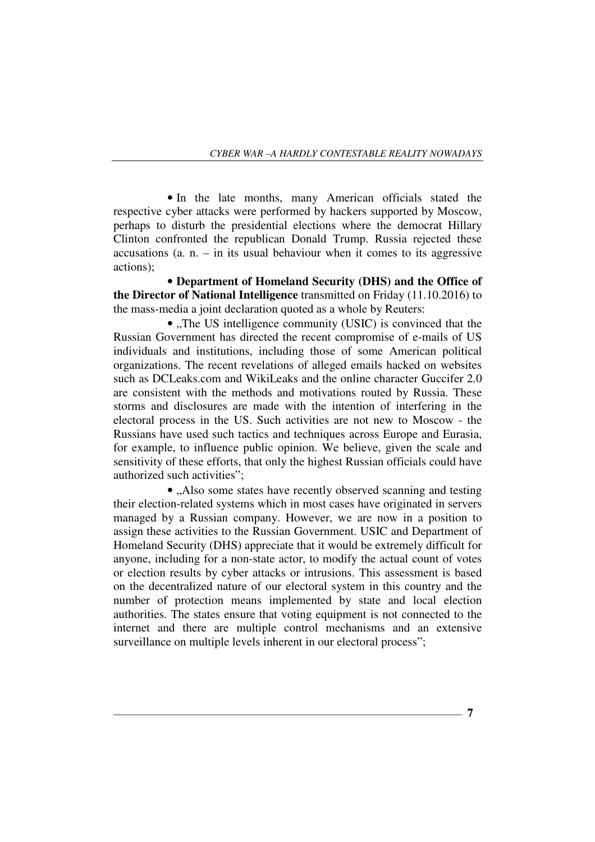• In the late months, many American officials stated the respective cyber attacks were performed by hackers supported by Moscow, perhaps to disturb the presidential elections where the democrat Hillary Clinton confronted the republican Donald Trump. Russia rejected these accusations (a.  $n - in$  its usual behaviour when it comes to its aggressive actions);

• **Department of Homeland Security (DHS) and the Office of the Director of National Intelligence** transmitted on Friday (11.10.2016) to the mass-media a joint declaration quoted as a whole by Reuters:

 $\bullet$  ., The US intelligence community (USIC) is convinced that the Russian Government has directed the recent compromise of e-mails of US individuals and institutions, including those of some American political organizations. The recent revelations of alleged emails hacked on websites such as DCLeaks.com and WikiLeaks and the online character Guccifer 2.0 are consistent with the methods and motivations routed by Russia. These storms and disclosures are made with the intention of interfering in the electoral process in the US. Such activities are not new to Moscow - the Russians have used such tactics and techniques across Europe and Eurasia, for example, to influence public opinion. We believe, given the scale and sensitivity of these efforts, that only the highest Russian officials could have authorized such activities";

• ...Also some states have recently observed scanning and testing their election-related systems which in most cases have originated in servers managed by a Russian company. However, we are now in a position to assign these activities to the Russian Government. USIC and Department of Homeland Security (DHS) appreciate that it would be extremely difficult for anyone, including for a non-state actor, to modify the actual count of votes or election results by cyber attacks or intrusions. This assessment is based on the decentralized nature of our electoral system in this country and the number of protection means implemented by state and local election authorities. The states ensure that voting equipment is not connected to the internet and there are multiple control mechanisms and an extensive surveillance on multiple levels inherent in our electoral process";

**7**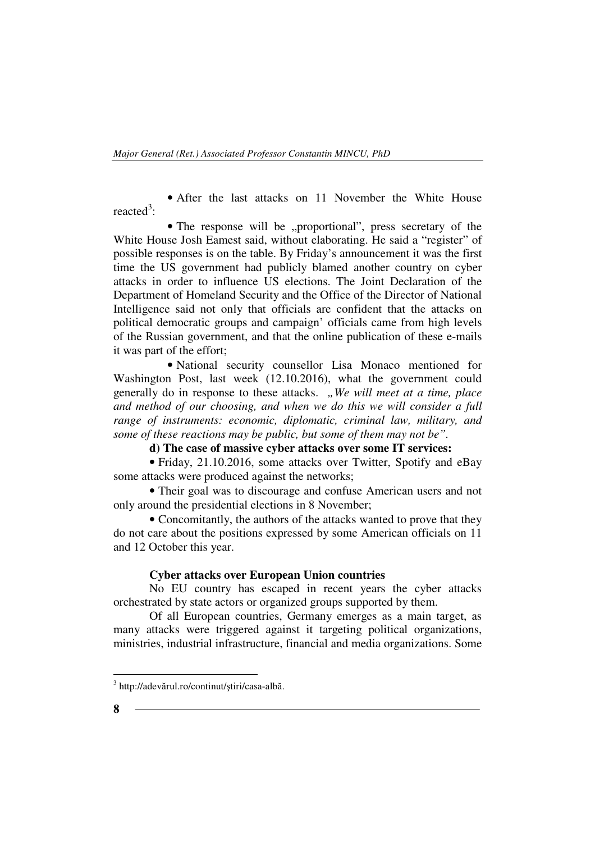• After the last attacks on 11 November the White House reacted<sup>3</sup>:

• The response will be "proportional", press secretary of the White House Josh Eamest said, without elaborating. He said a "register" of possible responses is on the table. By Friday's announcement it was the first time the US government had publicly blamed another country on cyber attacks in order to influence US elections. The Joint Declaration of the Department of Homeland Security and the Office of the Director of National Intelligence said not only that officials are confident that the attacks on political democratic groups and campaign' officials came from high levels of the Russian government, and that the online publication of these e-mails it was part of the effort;

• National security counsellor Lisa Monaco mentioned for Washington Post, last week (12.10.2016), what the government could generally do in response to these attacks. *"We will meet at a time, place and method of our choosing, and when we do this we will consider a full range of instruments: economic, diplomatic, criminal law, military, and some of these reactions may be public, but some of them may not be".*

# **d) The case of massive cyber attacks over some IT services:**

• Friday, 21.10.2016, some attacks over Twitter, Spotify and eBay some attacks were produced against the networks;

• Their goal was to discourage and confuse American users and not only around the presidential elections in 8 November;

• Concomitantly, the authors of the attacks wanted to prove that they do not care about the positions expressed by some American officials on 11 and 12 October this year.

#### **Cyber attacks over European Union countries**

No EU country has escaped in recent years the cyber attacks orchestrated by state actors or organized groups supported by them.

Of all European countries, Germany emerges as a main target, as many attacks were triggered against it targeting political organizations, ministries, industrial infrastructure, financial and media organizations. Some

 $\overline{a}$ 

<sup>3</sup> http://adevărul.ro/continut/ştiri/casa-albă.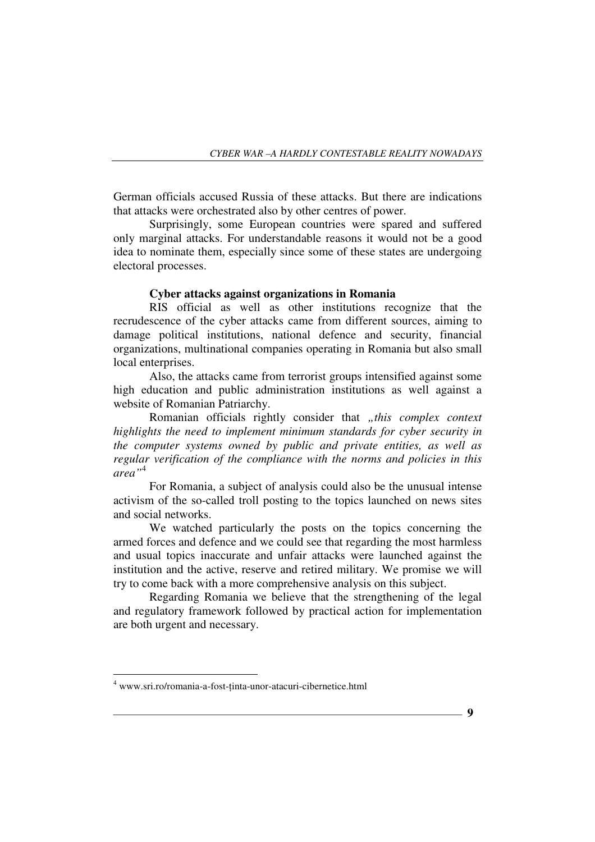German officials accused Russia of these attacks. But there are indications that attacks were orchestrated also by other centres of power.

Surprisingly, some European countries were spared and suffered only marginal attacks. For understandable reasons it would not be a good idea to nominate them, especially since some of these states are undergoing electoral processes.

#### **Cyber attacks against organizations in Romania**

RIS official as well as other institutions recognize that the recrudescence of the cyber attacks came from different sources, aiming to damage political institutions, national defence and security, financial organizations, multinational companies operating in Romania but also small local enterprises.

Also, the attacks came from terrorist groups intensified against some high education and public administration institutions as well against a website of Romanian Patriarchy.

Romanian officials rightly consider that *"this complex context highlights the need to implement minimum standards for cyber security in the computer systems owned by public and private entities, as well as regular verification of the compliance with the norms and policies in this area"*<sup>4</sup>

For Romania, a subject of analysis could also be the unusual intense activism of the so-called troll posting to the topics launched on news sites and social networks.

We watched particularly the posts on the topics concerning the armed forces and defence and we could see that regarding the most harmless and usual topics inaccurate and unfair attacks were launched against the institution and the active, reserve and retired military. We promise we will try to come back with a more comprehensive analysis on this subject.

Regarding Romania we believe that the strengthening of the legal and regulatory framework followed by practical action for implementation are both urgent and necessary.

 $\overline{a}$ 

<sup>&</sup>lt;sup>4</sup> www.sri.ro/romania-a-fost-ținta-unor-atacuri-cibernetice.html